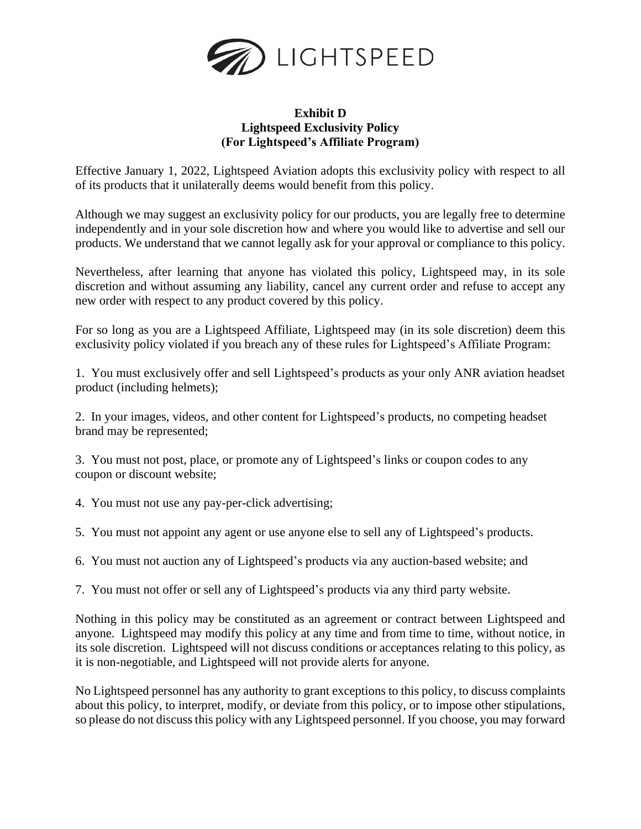

## **Exhibit D Lightspeed Exclusivity Policy (For Lightspeed's Affiliate Program)**

Effective January 1, 2022, Lightspeed Aviation adopts this exclusivity policy with respect to all of its products that it unilaterally deems would benefit from this policy.

Although we may suggest an exclusivity policy for our products, you are legally free to determine independently and in your sole discretion how and where you would like to advertise and sell our products. We understand that we cannot legally ask for your approval or compliance to this policy.

Nevertheless, after learning that anyone has violated this policy, Lightspeed may, in its sole discretion and without assuming any liability, cancel any current order and refuse to accept any new order with respect to any product covered by this policy.

For so long as you are a Lightspeed Affiliate, Lightspeed may (in its sole discretion) deem this exclusivity policy violated if you breach any of these rules for Lightspeed's Affiliate Program:

1. You must exclusively offer and sell Lightspeed's products as your only ANR aviation headset product (including helmets);

2. In your images, videos, and other content for Lightspeed's products, no competing headset brand may be represented;

3. You must not post, place, or promote any of Lightspeed's links or coupon codes to any coupon or discount website;

4. You must not use any pay-per-click advertising;

5. You must not appoint any agent or use anyone else to sell any of Lightspeed's products.

6. You must not auction any of Lightspeed's products via any auction-based website; and

7. You must not offer or sell any of Lightspeed's products via any third party website.

Nothing in this policy may be constituted as an agreement or contract between Lightspeed and anyone. Lightspeed may modify this policy at any time and from time to time, without notice, in its sole discretion. Lightspeed will not discuss conditions or acceptances relating to this policy, as it is non-negotiable, and Lightspeed will not provide alerts for anyone.

No Lightspeed personnel has any authority to grant exceptions to this policy, to discuss complaints about this policy, to interpret, modify, or deviate from this policy, or to impose other stipulations, so please do not discuss this policy with any Lightspeed personnel. If you choose, you may forward